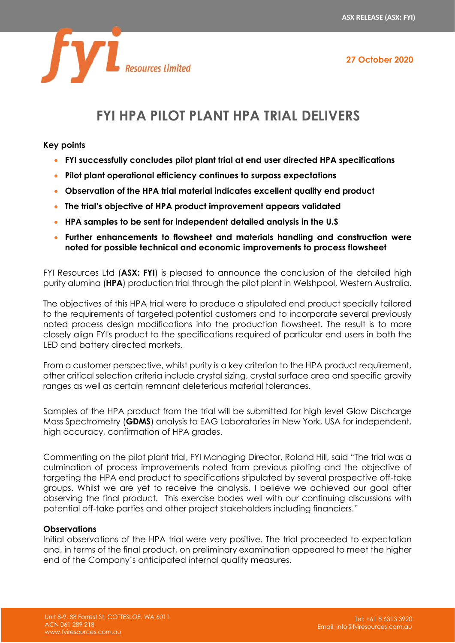

# **FYI HPA PILOT PLANT HPA TRIAL DELIVERS**

**Key points**

- **FYI successfully concludes pilot plant trial at end user directed HPA specifications**
- **Pilot plant operational efficiency continues to surpass expectations**
- **Observation of the HPA trial material indicates excellent quality end product**
- **The trial's objective of HPA product improvement appears validated**
- **HPA samples to be sent for independent detailed analysis in the U.S**
- **Further enhancements to flowsheet and materials handling and construction were noted for possible technical and economic improvements to process flowsheet**

FYI Resources Ltd (**ASX: FYI**) is pleased to announce the conclusion of the detailed high purity alumina (**HPA**) production trial through the pilot plant in Welshpool, Western Australia.

The objectives of this HPA trial were to produce a stipulated end product specially tailored to the requirements of targeted potential customers and to incorporate several previously noted process design modifications into the production flowsheet. The result is to more closely align FYI's product to the specifications required of particular end users in both the LED and battery directed markets.

From a customer perspective, whilst purity is a key criterion to the HPA product requirement, other critical selection criteria include crystal sizing, crystal surface area and specific gravity ranges as well as certain remnant deleterious material tolerances.

Samples of the HPA product from the trial will be submitted for high level Glow Discharge Mass Spectrometry (**GDMS**) analysis to EAG Laboratories in New York, USA for independent, high accuracy, confirmation of HPA grades.

Commenting on the pilot plant trial, FYI Managing Director, Roland Hill, said "The trial was a culmination of process improvements noted from previous piloting and the objective of targeting the HPA end product to specifications stipulated by several prospective off-take groups. Whilst we are yet to receive the analysis, I believe we achieved our goal after observing the final product. This exercise bodes well with our continuing discussions with potential off-take parties and other project stakeholders including financiers."

# **Observations**

Initial observations of the HPA trial were very positive. The trial proceeded to expectation and, in terms of the final product, on preliminary examination appeared to meet the higher end of the Company's anticipated internal quality measures.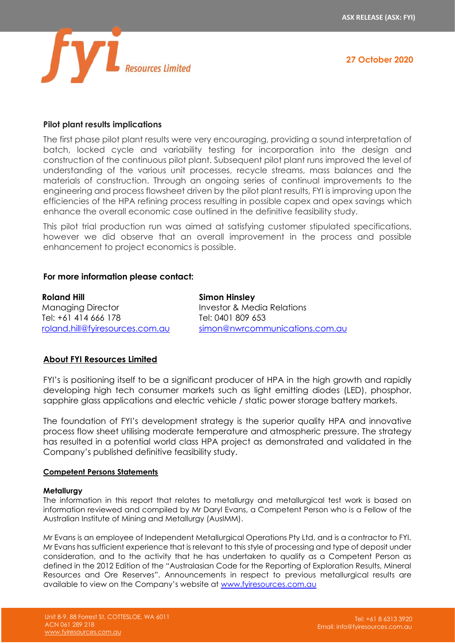

### **Pilot plant results implications**

The first phase pilot plant results were very encouraging, providing a sound interpretation of batch, locked cycle and variability testing for incorporation into the design and construction of the continuous pilot plant. Subsequent pilot plant runs improved the level of understanding of the various unit processes, recycle streams, mass balances and the materials of construction. Through an ongoing series of continual improvements to the engineering and process flowsheet driven by the pilot plant results, FYI is improving upon the efficiencies of the HPA refining process resulting in possible capex and opex savings which enhance the overall economic case outlined in the definitive feasibility study.

This pilot trial production run was aimed at satisfying customer stipulated specifications, however we did observe that an overall improvement in the process and possible enhancement to project economics is possible.

#### **For more information please contact:**

**Roland Hill** Managing Director Tel: +61 414 666 178 [roland.hill@fyiresources.com.au](mailto:roland.hill@fyiresources.com.au) **Simon Hinsley** Investor & Media Relations Tel: 0401 809 653 [simon@nwrcommunications.com.au](mailto:simon@nwrcommunications.com.au)

### **About FYI Resources Limited**

FYI's is positioning itself to be a significant producer of HPA in the high growth and rapidly developing high tech consumer markets such as light emitting diodes (LED), phosphor, sapphire glass applications and electric vehicle / static power storage battery markets.

The foundation of FYI's development strategy is the superior quality HPA and innovative process flow sheet utilising moderate temperature and atmospheric pressure. The strategy has resulted in a potential world class HPA project as demonstrated and validated in the Company's published definitive feasibility study.

#### **Competent Persons Statements**

#### **Metallurgy**

The information in this report that relates to metallurgy and metallurgical test work is based on information reviewed and compiled by Mr Daryl Evans, a Competent Person who is a Fellow of the Australian Institute of Mining and Metallurgy (AusIMM).

Mr Evans is an employee of Independent Metallurgical Operations Pty Ltd, and is a contractor to FYI. Mr Evans has sufficient experience that is relevant to this style of processing and type of deposit under consideration, and to the activity that he has undertaken to qualify as a Competent Person as defined in the 2012 Edition of the "Australasian Code for the Reporting of Exploration Results, Mineral Resources and Ore Reserves". Announcements in respect to previous metallurgical results are available to view on the Company's website at [www.fyiresources.com.au](http://www.fyiresources.com.au/)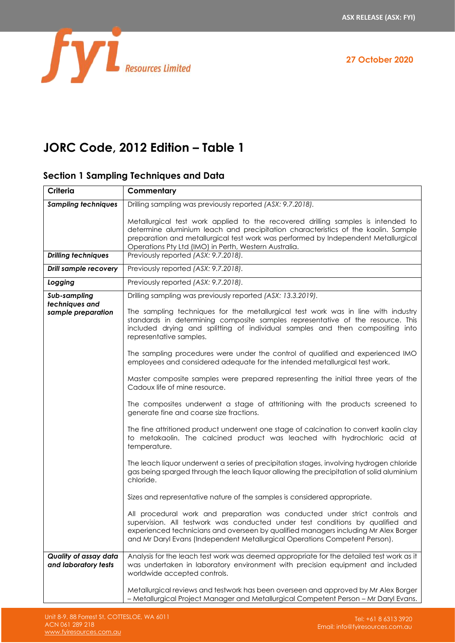



# **JORC Code, 2012 Edition – Table 1**

# **Section 1 Sampling Techniques and Data**

| Criteria                                             | Commentary                                                                                                                                                                                                                                                                                                                                      |
|------------------------------------------------------|-------------------------------------------------------------------------------------------------------------------------------------------------------------------------------------------------------------------------------------------------------------------------------------------------------------------------------------------------|
| <b>Sampling techniques</b>                           | Drilling sampling was previously reported (ASX: 9.7.2018).                                                                                                                                                                                                                                                                                      |
|                                                      | Metallurgical test work applied to the recovered drilling samples is intended to<br>determine aluminium leach and precipitation characteristics of the kaolin. Sample<br>preparation and metallurgical test work was performed by Independent Metallurgical<br>Operations Pty Ltd (IMO) in Perth, Western Australia.                            |
| <b>Drilling techniques</b>                           | Previously reported (ASX: 9.7.2018).                                                                                                                                                                                                                                                                                                            |
| Drill sample recovery                                | Previously reported (ASX: 9.7.2018).                                                                                                                                                                                                                                                                                                            |
| Logging                                              | Previously reported (ASX: 9.7.2018).                                                                                                                                                                                                                                                                                                            |
| Sub-sampling<br>techniques and<br>sample preparation | Drilling sampling was previously reported (ASX: 13.3.2019).<br>The sampling techniques for the metallurgical test work was in line with industry<br>standards in determining composite samples representative of the resource. This<br>included drying and splitting of individual samples and then compositing into<br>representative samples. |
|                                                      | The sampling procedures were under the control of qualified and experienced IMO<br>employees and considered adequate for the intended metallurgical test work.                                                                                                                                                                                  |
|                                                      | Master composite samples were prepared representing the initial three years of the<br>Cadoux life of mine resource.                                                                                                                                                                                                                             |
|                                                      | The composites underwent a stage of attritioning with the products screened to<br>generate fine and coarse size fractions.                                                                                                                                                                                                                      |
|                                                      | The fine attritioned product underwent one stage of calcination to convert kaolin clay<br>to metakaolin. The calcined product was leached with hydrochloric acid at<br>temperature.                                                                                                                                                             |
|                                                      | The leach liquor underwent a series of precipitation stages, involving hydrogen chloride<br>gas being sparged through the leach liquor allowing the precipitation of solid aluminium<br>chloride.                                                                                                                                               |
|                                                      | Sizes and representative nature of the samples is considered appropriate.                                                                                                                                                                                                                                                                       |
|                                                      | All procedural work and preparation was conducted under strict controls and<br>supervision. All testwork was conducted under test conditions by qualified and<br>experienced technicians and overseen by qualified managers including Mr Alex Borger<br>and Mr Daryl Evans (Independent Metallurgical Operations Competent Person).             |
| Quality of assay data<br>and laboratory tests        | Analysis for the leach test work was deemed appropriate for the detailed test work as it<br>was undertaken in laboratory environment with precision equipment and included<br>worldwide accepted controls.                                                                                                                                      |
|                                                      | Metallurgical reviews and testwork has been overseen and approved by Mr Alex Borger<br>- Metallurgical Project Manager and Metallurgical Competent Person - Mr Daryl Evans.                                                                                                                                                                     |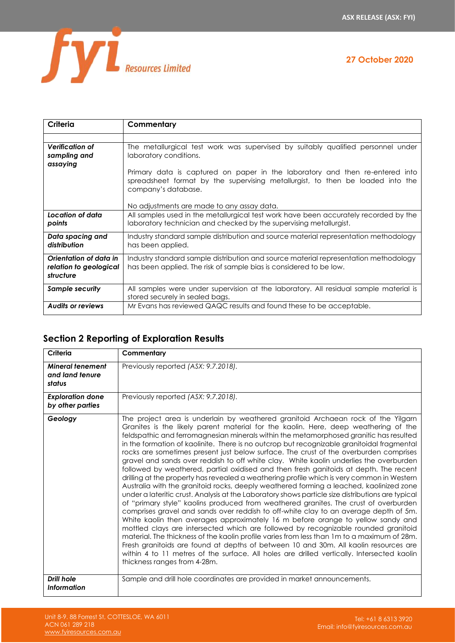

| Criteria                                                      | Commentary                                                                                                                                                                            |
|---------------------------------------------------------------|---------------------------------------------------------------------------------------------------------------------------------------------------------------------------------------|
|                                                               |                                                                                                                                                                                       |
| <b>Verification of</b><br>sampling and<br>assaying            | The metallurgical test work was supervised by suitably qualified personnel under<br>laboratory conditions.                                                                            |
|                                                               | Primary data is captured on paper in the laboratory and then re-entered into<br>spreadsheet format by the supervising metallurgist, to then be loaded into the<br>company's database. |
|                                                               | No adjustments are made to any assay data.                                                                                                                                            |
| Location of data<br>points                                    | All samples used in the metallurgical test work have been accurately recorded by the<br>laboratory technician and checked by the supervising metallurgist.                            |
| Data spacing and<br>distribution                              | Industry standard sample distribution and source material representation methodology<br>has been applied.                                                                             |
| Orientation of data in<br>relation to geological<br>structure | Industry standard sample distribution and source material representation methodology<br>has been applied. The risk of sample bias is considered to be low.                            |
| <b>Sample security</b>                                        | All samples were under supervision at the laboratory. All residual sample material is<br>stored securely in sealed bags.                                                              |
| <b>Audits or reviews</b>                                      | Mr Evans has reviewed QAQC results and found these to be acceptable.                                                                                                                  |

# **Section 2 Reporting of Exploration Results**

| Criteria                                             | Commentary                                                                                                                                                                                                                                                                                                                                                                                                                                                                                                                                                                                                                                                                                                                                                                                                                                                                                                                                                                                                                                                                                                                                                                                                                                                                                                                                                                                                                                                                                                                                                                                                               |
|------------------------------------------------------|--------------------------------------------------------------------------------------------------------------------------------------------------------------------------------------------------------------------------------------------------------------------------------------------------------------------------------------------------------------------------------------------------------------------------------------------------------------------------------------------------------------------------------------------------------------------------------------------------------------------------------------------------------------------------------------------------------------------------------------------------------------------------------------------------------------------------------------------------------------------------------------------------------------------------------------------------------------------------------------------------------------------------------------------------------------------------------------------------------------------------------------------------------------------------------------------------------------------------------------------------------------------------------------------------------------------------------------------------------------------------------------------------------------------------------------------------------------------------------------------------------------------------------------------------------------------------------------------------------------------------|
| <b>Mineral tenement</b><br>and land tenure<br>status | Previously reported (ASX: 9.7.2018).                                                                                                                                                                                                                                                                                                                                                                                                                                                                                                                                                                                                                                                                                                                                                                                                                                                                                                                                                                                                                                                                                                                                                                                                                                                                                                                                                                                                                                                                                                                                                                                     |
| <b>Exploration done</b><br>by other parties          | Previously reported (ASX: 9.7.2018).                                                                                                                                                                                                                                                                                                                                                                                                                                                                                                                                                                                                                                                                                                                                                                                                                                                                                                                                                                                                                                                                                                                                                                                                                                                                                                                                                                                                                                                                                                                                                                                     |
| Geology                                              | The project area is underlain by weathered granitoid Archaean rock of the Yilgarn<br>Granites is the likely parent material for the kaolin. Here, deep weathering of the<br>feldspathic and ferromagnesian minerals within the metamorphosed granitic has resulted<br>in the formation of kaolinite. There is no outcrop but recognizable granitoidal fragmental<br>rocks are sometimes present just below surface. The crust of the overburden comprises<br>gravel and sands over reddish to off white clay. White kaolin underlies the overburden<br>followed by weathered, partial oxidised and then fresh ganitoids at depth. The recent<br>drilling at the property has revealed a weathering profile which is very common in Western<br>Australia with the granitoid rocks, deeply weathered forming a leached, kaolinized zone<br>under a lateritic crust. Analysis at the Laboratory shows particle size distributions are typical<br>of "primary style" kaolins produced from weathered granites. The crust of overburden<br>comprises gravel and sands over reddish to off-white clay to an average depth of 5m.<br>White kaolin then averages approximately 16 m before orange to yellow sandy and<br>mottled clays are intersected which are followed by recognizable rounded granitoid<br>material. The thickness of the kaolin profile varies from less than 1m to a maximum of 28m.<br>Fresh granitoids are found at depths of between 10 and 30m. All kaolin resources are<br>within 4 to 11 metres of the surface. All holes are drilled vertically. Intersected kaolin<br>thickness ranges from 4-28m. |
| Drill hole<br><b>Information</b>                     | Sample and drill hole coordinates are provided in market announcements.                                                                                                                                                                                                                                                                                                                                                                                                                                                                                                                                                                                                                                                                                                                                                                                                                                                                                                                                                                                                                                                                                                                                                                                                                                                                                                                                                                                                                                                                                                                                                  |